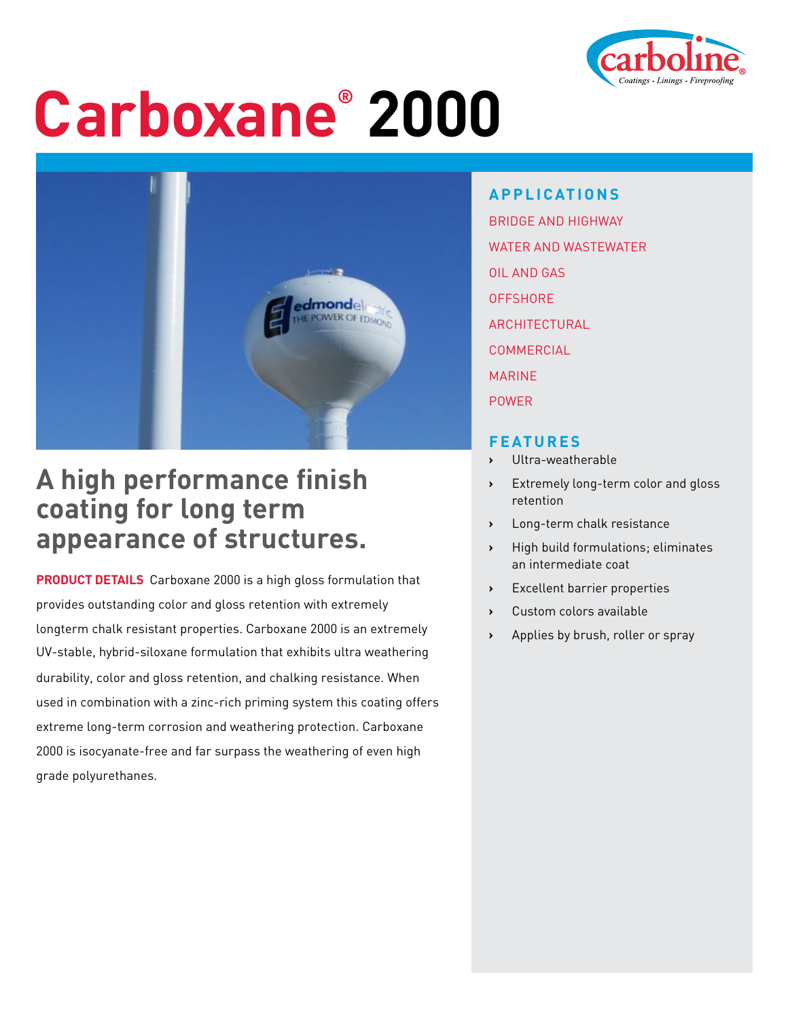

# **Carboxane® 2000**



## **A high performance finish coating for long term appearance of structures.**

**PRODUCT DETAILS** Carboxane 2000 is a high gloss formulation that provides outstanding color and gloss retention with extremely longterm chalk resistant properties. Carboxane 2000 is an extremely UV-stable, hybrid-siloxane formulation that exhibits ultra weathering durability, color and gloss retention, and chalking resistance. When used in combination with a zinc-rich priming system this coating offers extreme long-term corrosion and weathering protection. Carboxane 2000 is isocyanate-free and far surpass the weathering of even high grade polyurethanes.

**APPLICATIONS** BRIDGE AND HIGHWAY WATER AND WASTEWATER OIL AND GAS **OFFSHORE ARCHITECTURAL COMMERCIAL** MARINE POWER

#### **FEATURES**

- **›** Ultra-weatherable
- **›** Extremely long-term color and gloss retention
- **›** Long-term chalk resistance
- **›** High build formulations; eliminates an intermediate coat
- **Excellent barrier properties**
- **›** Custom colors available
- **›** Applies by brush, roller or spray